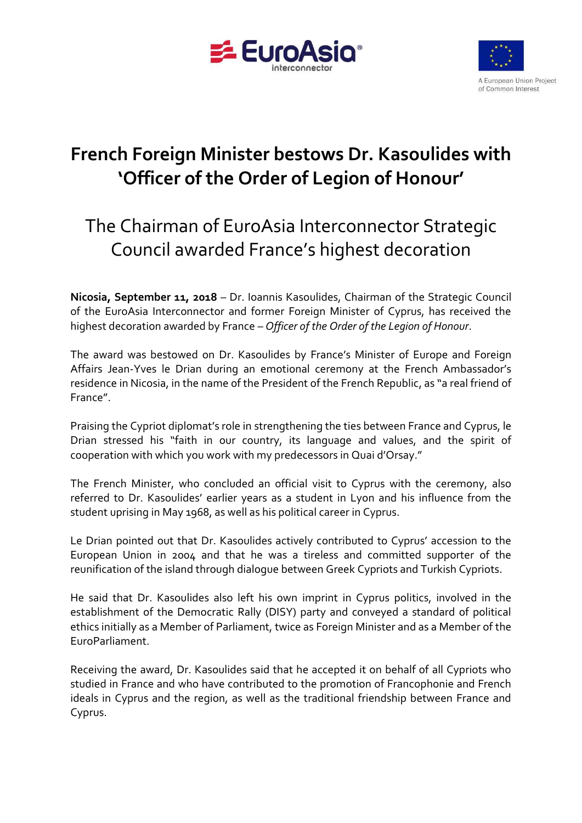



## **French Foreign Minister bestows Dr. Kasoulides with 'Officer of the Order of Legion of Honour'**

## The Chairman of EuroAsia Interconnector Strategic Council awarded France's highest decoration

**Nicosia, September 11, 2018** – Dr. Ioannis Kasoulides, Chairman of the Strategic Council of the EuroAsia Interconnector and former Foreign Minister of Cyprus, has received the highest decoration awarded by France – *Officer of the Order of the Legion of Honour*.

The award was bestowed on Dr. Kasoulides by France's Minister of Europe and Foreign Affairs Jean-Yves le Drian during an emotional ceremony at the French Ambassador's residence in Nicosia, in the name of the President of the French Republic, as "a real friend of France".

Praising the Cypriot diplomat's role in strengthening the ties between France and Cyprus, le Drian stressed his "faith in our country, its language and values, and the spirit of cooperation with which you work with my predecessors in Quai d'Orsay."

The French Minister, who concluded an official visit to Cyprus with the ceremony, also referred to Dr. Kasoulides' earlier years as a student in Lyon and his influence from the student uprising in May 1968, as well as his political career in Cyprus.

Le Drian pointed out that Dr. Kasoulides actively contributed to Cyprus' accession to the European Union in 2004 and that he was a tireless and committed supporter of the reunification of the island through dialogue between Greek Cypriots and Turkish Cypriots.

He said that Dr. Kasoulides also left his own imprint in Cyprus politics, involved in the establishment of the Democratic Rally (DISY) party and conveyed a standard of political ethics initially as a Member of Parliament, twice as Foreign Minister and as a Member of the EuroParliament.

Receiving the award, Dr. Kasoulides said that he accepted it on behalf of all Cypriots who studied in France and who have contributed to the promotion of Francophonie and French ideals in Cyprus and the region, as well as the traditional friendship between France and Cyprus.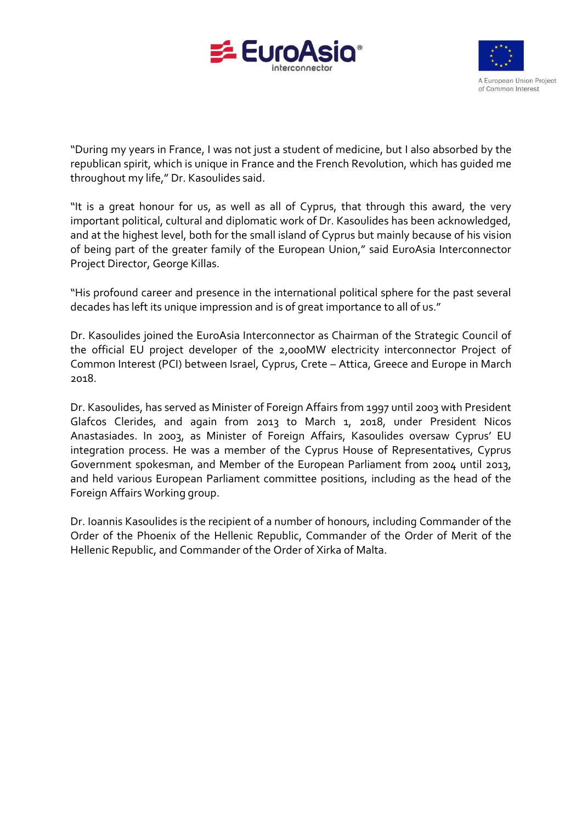



"During my years in France, I was not just a student of medicine, but I also absorbed by the republican spirit, which is unique in France and the French Revolution, which has guided me throughout my life," Dr. Kasoulides said.

"It is a great honour for us, as well as all of Cyprus, that through this award, the very important political, cultural and diplomatic work of Dr. Kasoulides has been acknowledged, and at the highest level, both for the small island of Cyprus but mainly because of his vision of being part of the greater family of the European Union," said EuroAsia Interconnector Project Director, George Killas.

"His profound career and presence in the international political sphere for the past several decades has left its unique impression and is of great importance to all of us."

Dr. Kasoulides joined the EuroAsia Interconnector as Chairman of the Strategic Council of the official EU project developer of the 2,000MW electricity interconnector Project of Common Interest (PCI) between Israel, Cyprus, Crete – Attica, Greece and Europe in March 2018.

Dr. Kasoulides, has served as Minister of Foreign Affairs from 1997 until 2003 with President Glafcos Clerides, and again from 2013 to March 1, 2018, under President Nicos Anastasiades. In 2003, as Minister of Foreign Affairs, Kasoulides oversaw Cyprus' EU integration process. He was a member of the Cyprus House of Representatives, Cyprus Government spokesman, and Member of the European Parliament from 2004 until 2013, and held various European Parliament committee positions, including as the head of the Foreign Affairs Working group.

Dr. Ioannis Kasoulides is the recipient of a number of honours, including Commander of the Order of the Phoenix of the Hellenic Republic, Commander of the Order of Merit of the Hellenic Republic, and Commander of the Order of Xirka of Malta.